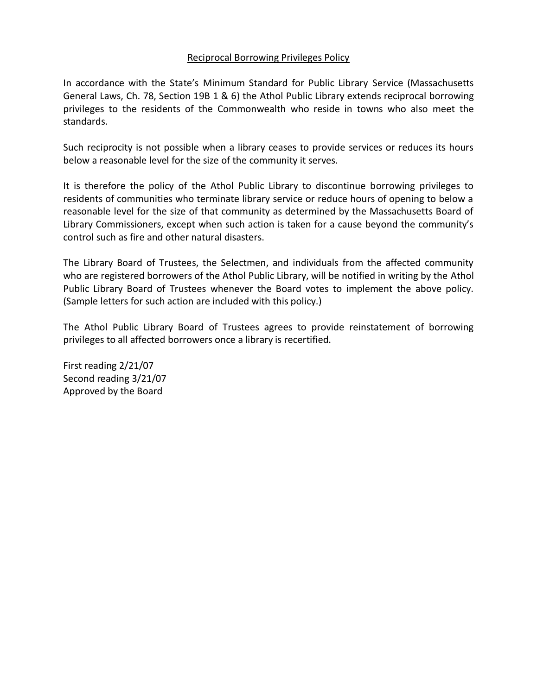## Reciprocal Borrowing Privileges Policy

In accordance with the State's Minimum Standard for Public Library Service (Massachusetts General Laws, Ch. 78, Section 19B 1 & 6) the Athol Public Library extends reciprocal borrowing privileges to the residents of the Commonwealth who reside in towns who also meet the standards.

Such reciprocity is not possible when a library ceases to provide services or reduces its hours below a reasonable level for the size of the community it serves.

It is therefore the policy of the Athol Public Library to discontinue borrowing privileges to residents of communities who terminate library service or reduce hours of opening to below a reasonable level for the size of that community as determined by the Massachusetts Board of Library Commissioners, except when such action is taken for a cause beyond the community's control such as fire and other natural disasters.

The Library Board of Trustees, the Selectmen, and individuals from the affected community who are registered borrowers of the Athol Public Library, will be notified in writing by the Athol Public Library Board of Trustees whenever the Board votes to implement the above policy. (Sample letters for such action are included with this policy.)

The Athol Public Library Board of Trustees agrees to provide reinstatement of borrowing privileges to all affected borrowers once a library is recertified.

First reading 2/21/07 Second reading 3/21/07 Approved by the Board